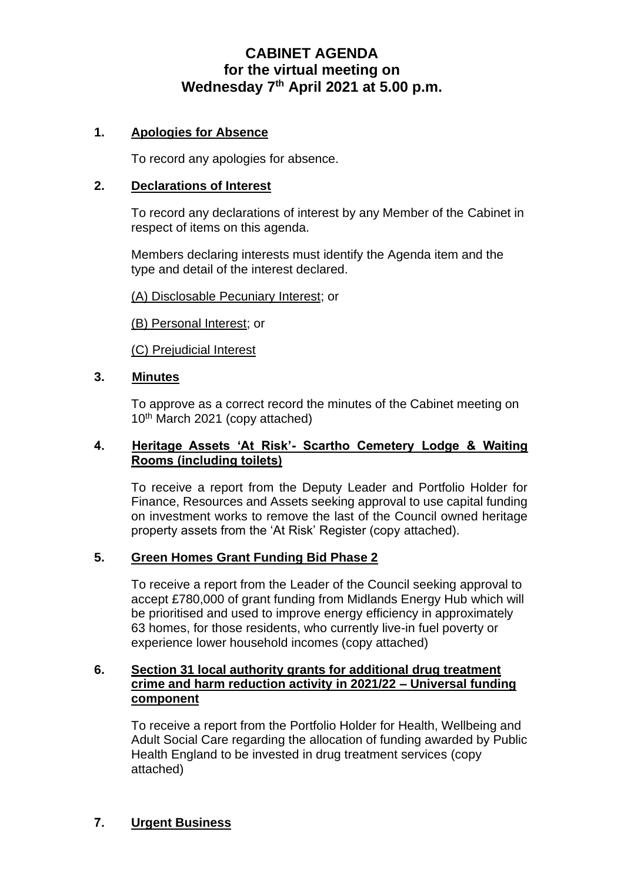# **CABINET AGENDA for the virtual meeting on Wednesday 7 th April 2021 at 5.00 p.m.**

# **1. Apologies for Absence**

To record any apologies for absence.

#### **2. Declarations of Interest**

To record any declarations of interest by any Member of the Cabinet in respect of items on this agenda.

Members declaring interests must identify the Agenda item and the type and detail of the interest declared.

(A) Disclosable Pecuniary Interest; or

(B) Personal Interest; or

(C) Prejudicial Interest

#### **3. Minutes**

To approve as a correct record the minutes of the Cabinet meeting on 10<sup>th</sup> March 2021 (copy attached)

## **4. Heritage Assets 'At Risk'- Scartho Cemetery Lodge & Waiting Rooms (including toilets)**

To receive a report from the Deputy Leader and Portfolio Holder for Finance, Resources and Assets seeking approval to use capital funding on investment works to remove the last of the Council owned heritage property assets from the 'At Risk' Register (copy attached).

## **5. Green Homes Grant Funding Bid Phase 2**

To receive a report from the Leader of the Council seeking approval to accept £780,000 of grant funding from Midlands Energy Hub which will be prioritised and used to improve energy efficiency in approximately 63 homes, for those residents, who currently live-in fuel poverty or experience lower household incomes (copy attached)

## **6. Section 31 local authority grants for additional drug treatment crime and harm reduction activity in 2021/22 – Universal funding component**

To receive a report from the Portfolio Holder for Health, Wellbeing and Adult Social Care regarding the allocation of funding awarded by Public Health England to be invested in drug treatment services (copy attached)

**7. Urgent Business**